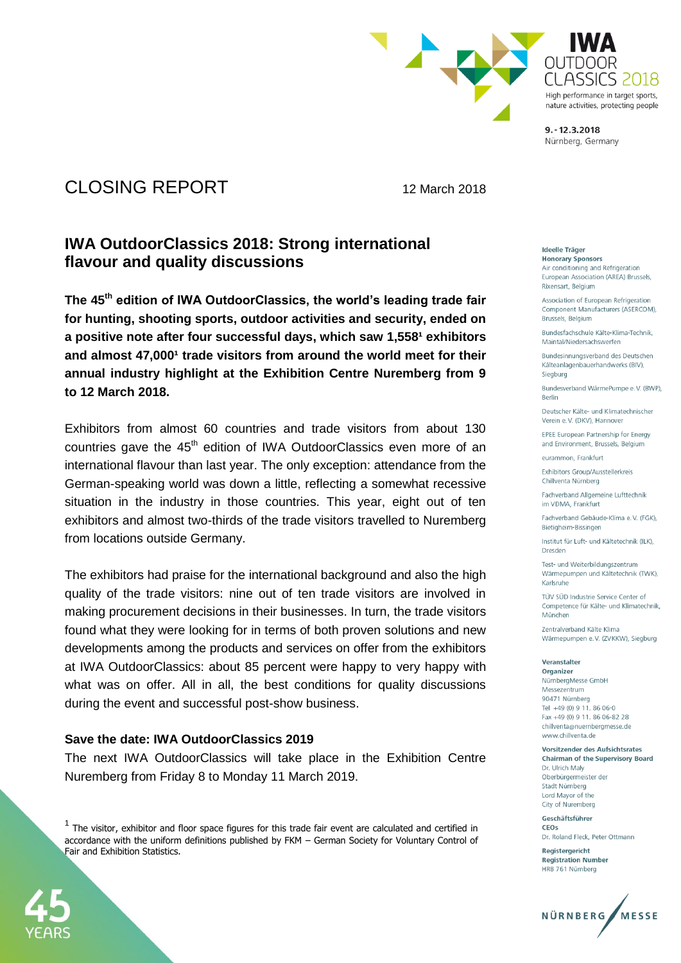

# High performance in target sports. nature activities, protecting people

 $9. - 12.3.2018$ Nürnberg, Germany

## CLOSING REPORT 12 March 2018

### **IWA OutdoorClassics 2018: Strong international flavour and quality discussions**

**The 45th edition of IWA OutdoorClassics, the world's leading trade fair for hunting, shooting sports, outdoor activities and security, ended on**  a positive note after four successful days, which saw 1,558<sup>1</sup> exhibitors and almost 47,000<sup>1</sup> trade visitors from around the world meet for their **annual industry highlight at the Exhibition Centre Nuremberg from 9 to 12 March 2018.**

Exhibitors from almost 60 countries and trade visitors from about 130 countries gave the 45<sup>th</sup> edition of IWA OutdoorClassics even more of an international flavour than last year. The only exception: attendance from the German-speaking world was down a little, reflecting a somewhat recessive situation in the industry in those countries. This year, eight out of ten exhibitors and almost two-thirds of the trade visitors travelled to Nuremberg from locations outside Germany.

The exhibitors had praise for the international background and also the high quality of the trade visitors: nine out of ten trade visitors are involved in making procurement decisions in their businesses. In turn, the trade visitors found what they were looking for in terms of both proven solutions and new developments among the products and services on offer from the exhibitors at IWA OutdoorClassics: about 85 percent were happy to very happy with what was on offer. All in all, the best conditions for quality discussions during the event and successful post-show business.

#### **Save the date: IWA OutdoorClassics 2019**

The next IWA OutdoorClassics will take place in the Exhibition Centre Nuremberg from Friday 8 to Monday 11 March 2019.

 $<sup>1</sup>$  The visitor, exhibitor and floor space figures for this trade fair event are calculated and certified in</sup> accordance with the uniform definitions published by FKM – German Society for Voluntary Control of Fair and Exhibition Statistics.



#### **Ideelle Träger**

**Honorary Sponsors** Air conditioning and Refrigeration European Association (AREA) Brussels. Rixensart, Belgium

Association of European Refrigeration Component Manufacturers (ASERCOM), Brussels, Belgium

Bundesfachschule Kälte-Klima-Technik. Maintal/Niedersachswerfen

Bundesinnungsverband des Deutschen Kälteanlagenbauerhandwerks (BIV), Siegburg

Bundesverband WärmePumpe e.V. (BWP). Berlin

Deutscher Kälte- und Klimatechnischer Verein e.V. (DKV), Hannover

EPEE European Partnership for Energy and Environment, Brussels, Belgium

eurammon, Frankfurt

Exhibitors Group/Ausstellerkreis Chillventa Nürnberg

Fachverband Allgemeine Lufttechnik im VDMA, Frankfurt

Fachverband Gebäude-Klima e.V. (FGK). Bietigheim-Bissingen

Institut für Luft- und Kältetechnik (ILK). Dresden

Test- und Weiterbildungszentrum Wärmepumpen und Kältetechnik (TWK), Karlsruhe

TÜV SÜD Industrie Service Center of Competence für Kälte- und Klimatechnik, München

Zentralverband Kälte Klima Wärmepumpen e.V. (ZVKKW), Siegburg

Veranstalter

Organizer NürnbergMesse GmbH Messezentrum 90471 Nürnberg Tel +49 (0) 9 11, 86 06-0 Fax +49 (0) 9 11. 86 06-82 28 chillventa@nuernbergmesse.de www.chillventa.de

Vorsitzender des Aufsichtsrates **Chairman of the Supervisory Board** Dr. Ulrich Maly Oberbürgermeister der Stadt Nürnberg Lord Mayor of the City of Nuremberg

Geschäftsführer CEOS Dr. Roland Fleck, Peter Ottmann

Reaisteraericht **Registration Number** HRB 761 Nürnberg